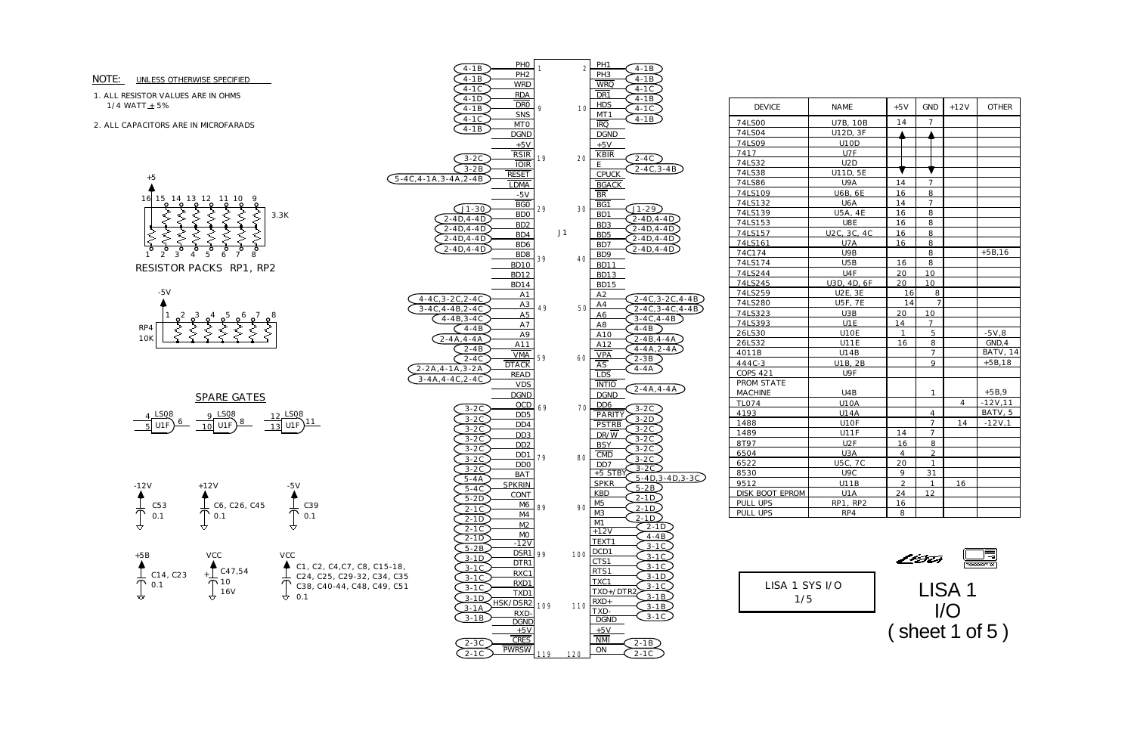1. ALL RESISTOR VALUES ARE IN OHMS 1/4 WATT $\pm$  5%

## NOTE: UNLESS OTHERWISE SPECIFIED

2. ALL CAPACITORS ARE IN MICROFARADS









LISA 1 I/O ( sheet 1 of 5 )

| <b>DEVICE</b>     | NAME            | $+5V$          | <b>GND</b>     | $+12V$ | <b>OTHER</b> |
|-------------------|-----------------|----------------|----------------|--------|--------------|
| 74LS00            | <b>U7B, 10B</b> | 14             | 7              |        |              |
| 74LS04            | U12D, 3F        |                |                |        |              |
| 74LS09            | <b>U10D</b>     |                |                |        |              |
| 7417              | U7F             |                |                |        |              |
| 74LS32            | U2D             |                |                |        |              |
| 74LS38            | U11D, 5E        |                |                |        |              |
| 74LS86            | U9A             | 14             | 7              |        |              |
| 74LS109           | <b>U6B, 6E</b>  | 16             | 8              |        |              |
| 74LS132           | U6A             | 14             | 7              |        |              |
| 74LS139           | <b>U5A, 4E</b>  | 16             | 8              |        |              |
| 74LS153           | U8E             | 16             | 8              |        |              |
| 74LS157           | U2C, 3C, 4C     | 16             | 8              |        |              |
| 74LS161           | U7A             | 16             | 8              |        |              |
| 74C174            | U9B             |                | 8              |        | $+5B, 16$    |
| 74LS174           | U5B             | 16             | 8              |        |              |
| 74LS244           | U4F             | 20             | 10             |        |              |
| 74LS245           | U3D, 4D, 6F     | 20             | 10             |        |              |
| 74LS259           | <b>U2E, 3E</b>  | 16             | 8              |        |              |
| 74LS280           | <b>U5F, 7E</b>  | 14             | $\overline{7}$ |        |              |
| 74LS323           | U3B             | 20             | 10             |        |              |
| 74LS393           | U1E             | 14             | $\overline{7}$ |        |              |
| 26LS30            | U10E            | 1              | 5              |        | $-5V,8$      |
| 26LS32            | <b>U11E</b>     | 16             | 8              |        | GND.4        |
| 4011B             | U14B            |                | $\overline{7}$ |        | BATV, 14     |
| 444C-3            | U1B, 2B         |                | 9              |        | $+5B, 18$    |
| <b>COPS 421</b>   | U9F             |                |                |        |              |
| <b>PROM STATE</b> |                 |                |                |        |              |
| <b>MACHINE</b>    | U4B             |                | $\mathbf{1}$   |        | $+5B.9$      |
| <b>TL074</b>      | <b>U10A</b>     |                |                | 4      | $-12V,11$    |
| 4193              | <b>U14A</b>     |                | 4              |        | BATV, 5      |
| 1488              | U10F            |                | $\overline{7}$ | 14     | $-12V,1$     |
| 1489              | <b>U11F</b>     | 14             | 7              |        |              |
| 8T97              | U2F             | 16             | 8              |        |              |
| 6504              | U3A             | $\overline{4}$ | $\overline{2}$ |        |              |
| 6522              | <b>U5C, 7C</b>  | 20             | $\mathbf{1}$   |        |              |
| 8530              | U9C             | 9              | 31             |        |              |
| 9512              | U11B            | $\overline{2}$ | 1              | 16     |              |
| DISK BOOT EPROM   | U1A             | 24             | 12             |        |              |
| PULL UPS          | RP1, RP2        | 16             |                |        |              |
| <b>PULL UPS</b>   | RP4             | 8              |                |        |              |

| LISA 1 SYS I/ |  |  |  |  |  |
|---------------|--|--|--|--|--|
| 175           |  |  |  |  |  |





 $\overline{O}$ 



## SPARE GATES

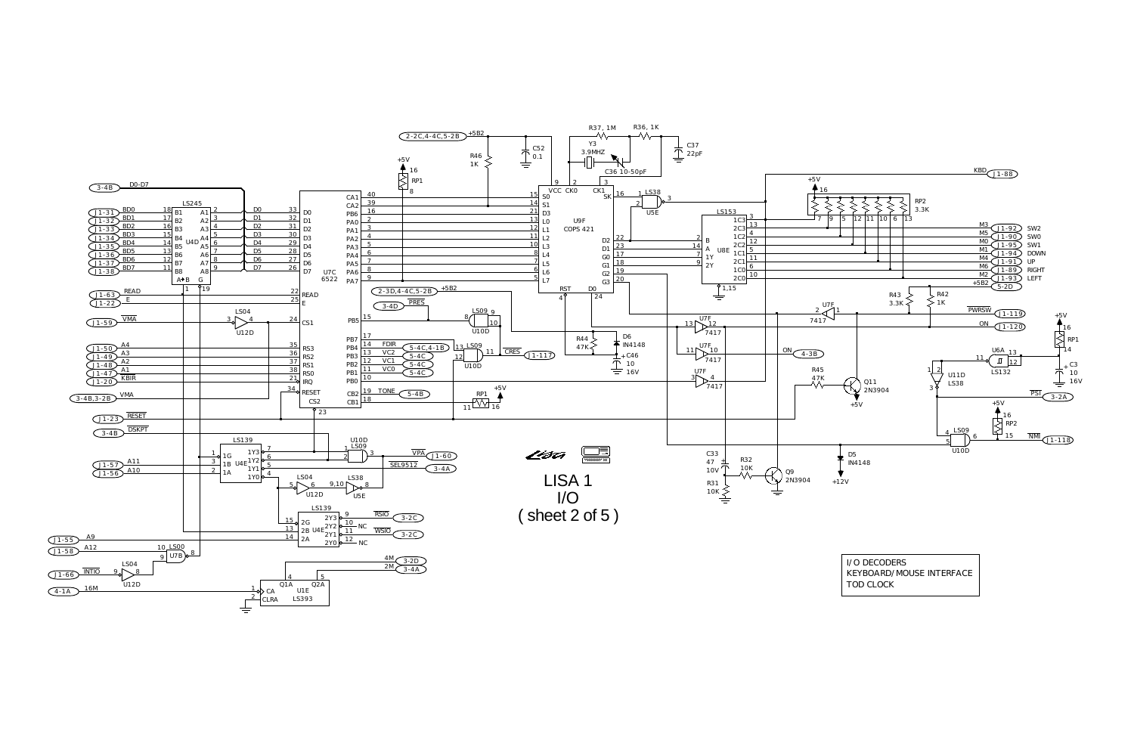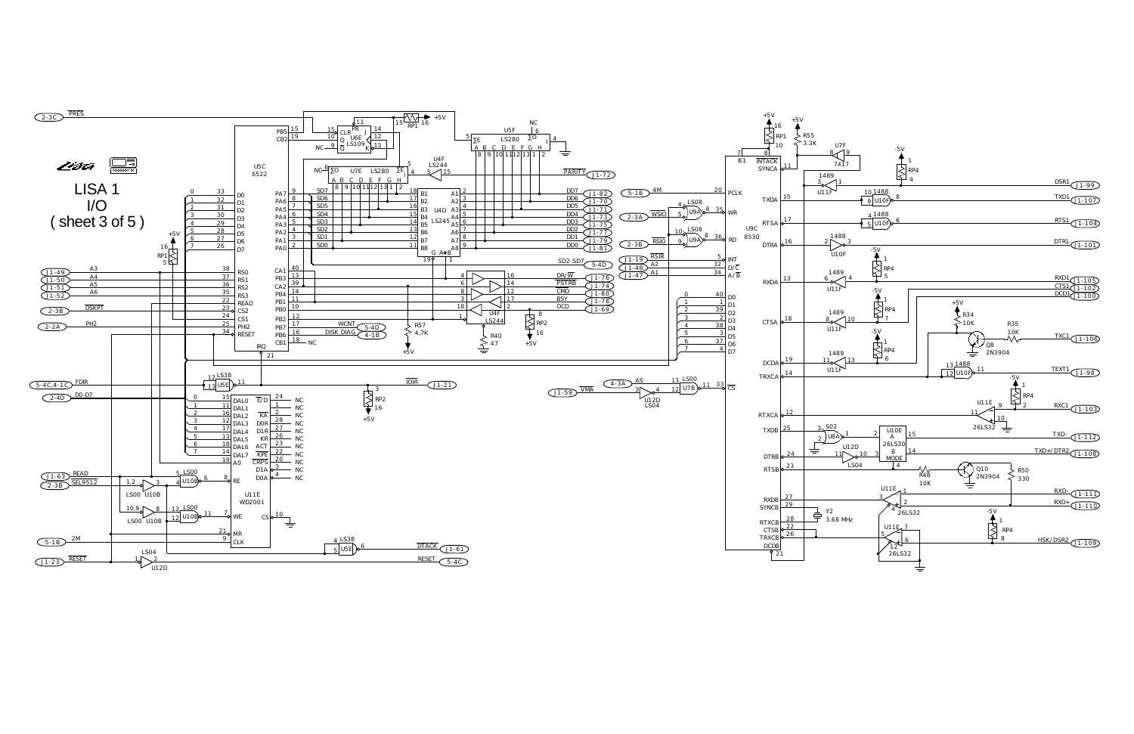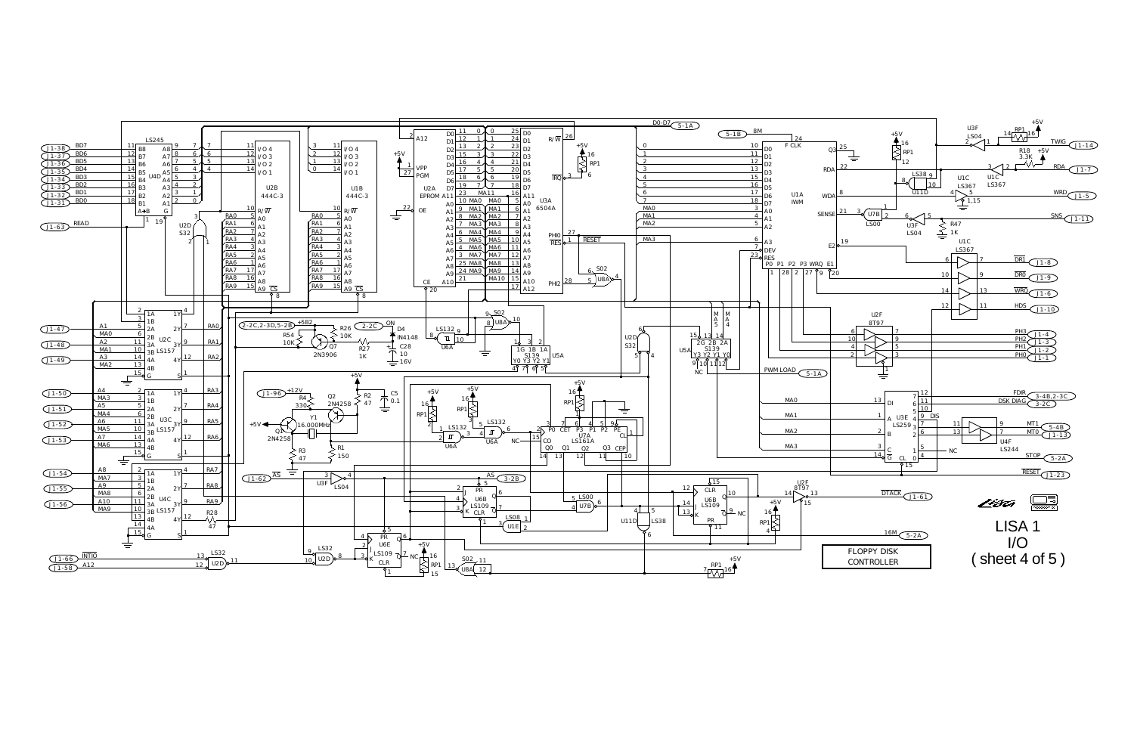